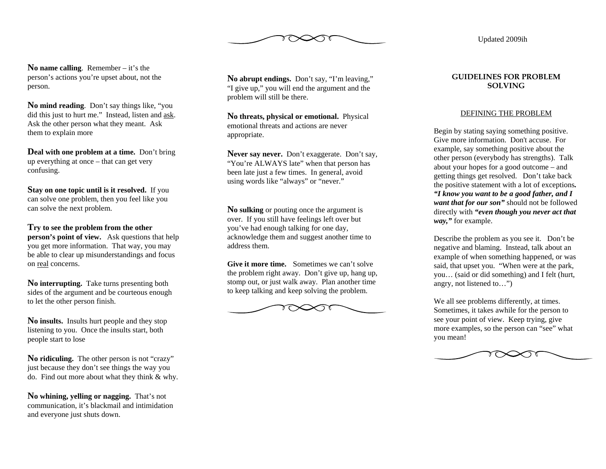

Updated 2009ih

**No name calling**. Remember – it's the person's actions you're upset about, not the person.

**No mind reading**. Don't say things like, "you did this just to hurt me." Instead, listen and ask. Ask the other person what they meant. Ask them to explain more

**Deal with one problem at a time.** Don't bring up everything at once – that can get very confusing.

**Stay on one topic until is it resolved.** If you can solve one problem, then you feel like you can solve the next problem.

**Try to see the problem from the other person's point of view.** Ask questions that help you get more information. That way, you may be able to clear up misunderstandings and focus on <u>real</u> concerns.

**No interrupting.** Take turns presenting both sides of the argument and be courteous enough to let the other person finish.

**No insults.** Insults hurt people and they stop listening to you. Once the insults start, both people start to lose

No **ridiculing.** The other person is not "crazy" just because they don't see things the way you do. Find out more about what they think & why.

**No whining, yelling or nagging.** That's not communication, it's blackmail and intimidation and everyone just shuts down.

**No abrupt endings.** Don't say, "I'm leaving," "I give up," you will end the argument and the problem will still be there.

**No threats, physical or emotional.** Physical emotional threats and actions are never appropriate.

**Never say never.** Don't exaggerate. Don't say, "You're ALWAYS late" when that person has been late just a few times. In general, avoid using words like "always" or "never."

**No sulking** or pouting once the argument is over. If you still have feelings left over but you've had enough talking for one day, acknowledge them and suggest another time to address them.

**Give it more time.** Sometimes we can't solve the problem right away. Don't give up, hang up, stomp out, or just walk away. Plan another time to keep talking and keep solving the problem.



# **GUIDELINES FOR PROBLEM SOLVING**

## DEFINING THE PROBLEM

Begin by stating saying something positive. Give more information. Don't accuse. For example, say something positive about the other person (everybody has strengths). Talk about your hopes for a good outcome – and getting things get resolved. Don't take back the positive statement with a lot of exceptions*. "I know you want to be a good father, and I want that for our son"* should not be followed directly with *"even though you never act that way,"* for example.

Describe the problem as you see it. Don't be negative and blaming. Instead, talk about an example of when something happened, or was said, that upset you. "When were at the park, you… (said or did something) and I felt (hurt, angry, not listened to…")

We all see problems differently, at times. Sometimes, it takes awhile for the person to see your point of view. Keep trying, give more examples, so the person can "see" what you mean!